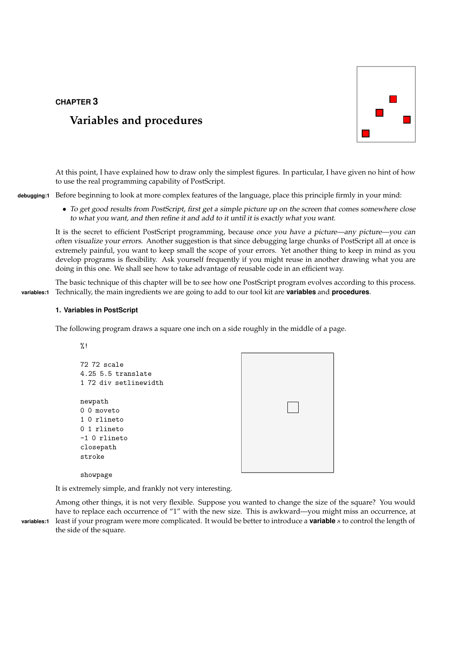# CHAPTER 3

# Variables and procedures



At this point, I have explained how to draw only the simplest figures. In particular, I have given no hint of how to use the real programming capability of PostScript.

debugging:1 Before beginning to look at more complex features of the language, place this principle firmly in your mind:

• To get good results from PostScript, first get <sup>a</sup> simple picture up on the screen that comes somewhere close to what you want, and then refine it and add to it until it is exactly what you want.

It is the secret to efficient PostScript programming, because once you have <sup>a</sup> picture—any picture—you can often visualize your errors. Another suggestion is that since debugging large chunks of PostScript all at once is extremely painful, you want to keep small the scope of your errors. Yet another thing to keep in mind as you develop programs is flexibility. Ask yourself frequently if you might reuse in another drawing what you are doing in this one. We shall see how to take advantage of reusable code in an efficient way.

The basic technique of this chapter will be to see how one PostScript program evolves according to this process. variables:1 Technically, the main ingredients we are going to add to our tool kit are variables and procedures.

# 1. Variables in PostScript

The following program draws a square one inch on a side roughly in the middle of a page.

# %!

| 72 72 scale<br>4.25 5.5 translate<br>1 72 div setlinewidth                                   |  |
|----------------------------------------------------------------------------------------------|--|
| newpath<br>0 0 moveto<br>1 0 rlineto<br>0 1 rlineto<br>$-1$ 0 rlineto<br>closepath<br>stroke |  |
| showpage                                                                                     |  |

It is extremely simple, and frankly not very interesting.

Among other things, it is not very flexible. Suppose you wanted to change the size of the square? You would have to replace each occurrence of "1" with the new size. This is awkward—you might miss an occurrence, at variables:1 least if your program were more complicated. It would be better to introduce a variable  $s$  to control the length of the side of the square.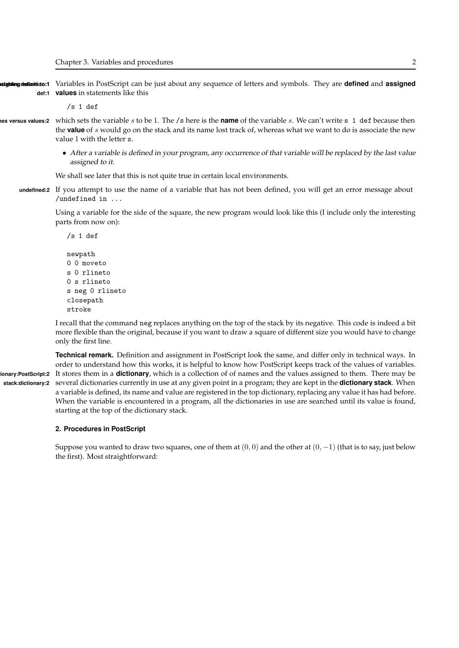**ex:** delivition:1 Variables in PostScript can be just about any sequence of letters and symbols. They are defined and assigned def:1 values in statements like this

 $/s$  1 def

- les versus values:2 which sets the variable s to be 1. The /s here is the name of the variable s. We can't write s 1 def because then the value of s would go on the stack and its name lost track of, whereas what we want to do is associate the new value 1 with the letter s.
	- After <sup>a</sup> variable is defined in your program, any occurrence of that variable will be replaced by the last value assigned to it.

We shall see later that this is not quite true in certain local environments.

undefined:2 If you attempt to use the name of a variable that has not been defined, you will get an error message about /undefined in ...

> Using a variable for the side of the square, the new program would look like this (I include only the interesting parts from now on):

/s 1 def

newpath 0 0 moveto s 0 rlineto 0 s rlineto s neg 0 rlineto closepath stroke

I recall that the command neg replaces anything on the top of the stack by its negative. This code is indeed a bit more flexible than the original, because if you want to draw a square of different size you would have to change only the first line.

Technical remark. Definition and assignment in PostScript look the same, and differ only in technical ways. In order to understand how this works, it is helpful to know how PostScript keeps track of the values of variables. ionary:PostScript:2 It stores them in a **dictionary**, which is a collection of of names and the values assigned to them. There may be stack:dictionary:2 several dictionaries currently in use at any given point in a program; they are kept in the dictionary stack. When a variable is defined, its name and value are registered in the top dictionary, replacing any value it has had before. When the variable is encountered in a program, all the dictionaries in use are searched until its value is found, starting at the top of the dictionary stack.

#### 2. Procedures in PostScript

Suppose you wanted to draw two squares, one of them at  $(0, 0)$  and the other at  $(0, -1)$  (that is to say, just below the first). Most straightforward: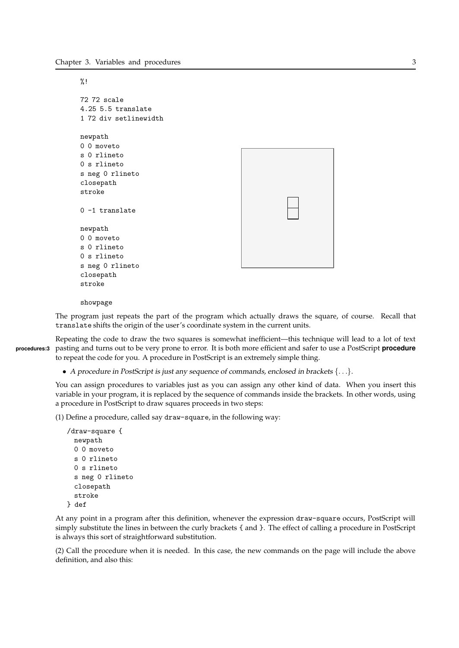%! 72 72 scale 4.25 5.5 translate 1 72 div setlinewidth newpath 0 0 moveto s 0 rlineto 0 s rlineto s neg 0 rlineto closepath stroke 0 -1 translate newpath 0 0 moveto s 0 rlineto 0 s rlineto s neg 0 rlineto closepath stroke

#### showpage

The program just repeats the part of the program which actually draws the square, of course. Recall that translate shifts the origin of the user's coordinate system in the current units.

Repeating the code to draw the two squares is somewhat inefficient—this technique will lead to a lot of text procedures:3 pasting and turns out to be very prone to error. It is both more efficient and safer to use a PostScript procedure to repeat the code for you. A procedure in PostScript is an extremely simple thing.

• A procedure in PostScript is just any sequence of commands, enclosed in brackets  $\{ \ldots \}$ .

You can assign procedures to variables just as you can assign any other kind of data. When you insert this variable in your program, it is replaced by the sequence of commands inside the brackets. In other words, using a procedure in PostScript to draw squares proceeds in two steps:

(1) Define a procedure, called say draw-square, in the following way:

/draw-square { newpath 0 0 moveto s 0 rlineto 0 s rlineto s neg 0 rlineto closepath stroke } def

At any point in a program after this definition, whenever the expression draw-square occurs, PostScript will simply substitute the lines in between the curly brackets { and }. The effect of calling a procedure in PostScript is always this sort of straightforward substitution.

(2) Call the procedure when it is needed. In this case, the new commands on the page will include the above definition, and also this: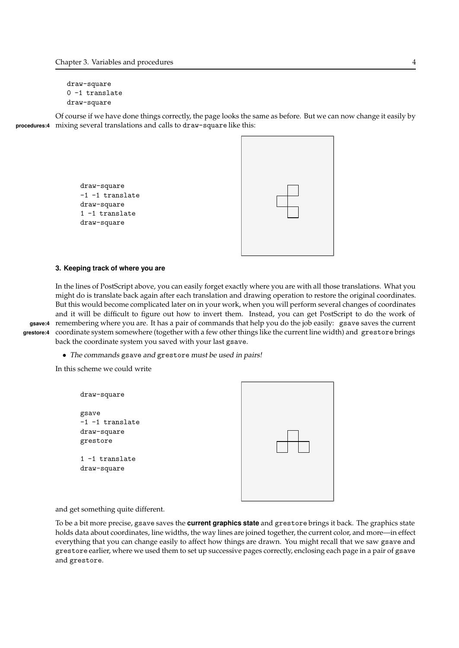draw-square 0 -1 translate draw-square

Of course if we have done things correctly, the page looks the same as before. But we can now change it easily by procedures:4 mixing several translations and calls to draw-square like this:



#### 3. Keeping track of where you are

In the lines of PostScript above, you can easily forget exactly where you are with all those translations. What you might do is translate back again after each translation and drawing operation to restore the original coordinates. But this would become complicated later on in your work, when you will perform several changes of coordinates and it will be difficult to figure out how to invert them. Instead, you can get PostScript to do the work of gsave:4 remembering where you are. It has a pair of commands that help you do the job easily: gsave saves the current grestore:4 coordinate system somewhere (together with a few other things like the current line width) and grestore brings back the coordinate system you saved with your last gsave.

#### • The commands gsave and grestore must be used in pairs!

In this scheme we could write

draw-square gsave -1 -1 translate draw-square grestore 1 -1 translate draw-square

and get something quite different.

To be a bit more precise, gsave saves the current graphics state and grestore brings it back. The graphics state holds data about coordinates, line widths, the way lines are joined together, the current color, and more—in effect everything that you can change easily to affect how things are drawn. You might recall that we saw gsave and grestore earlier, where we used them to set up successive pages correctly, enclosing each page in a pair of gsave and grestore.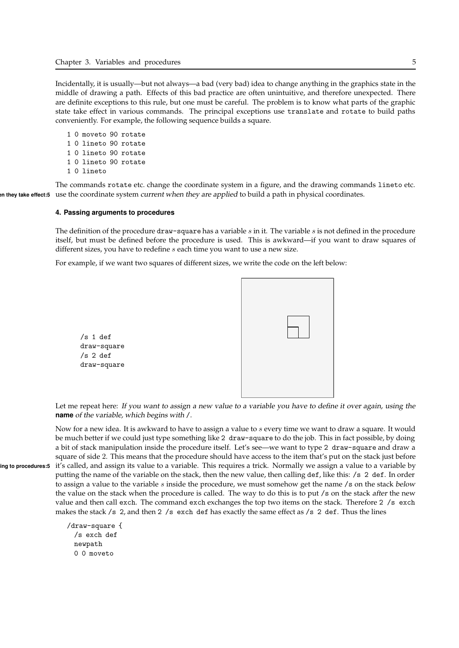Incidentally, it is usually—but not always—a bad (very bad) idea to change anything in the graphics state in the middle of drawing a path. Effects of this bad practice are often unintuitive, and therefore unexpected. There are definite exceptions to this rule, but one must be careful. The problem is to know what parts of the graphic state take effect in various commands. The principal exceptions use translate and rotate to build paths conveniently. For example, the following sequence builds a square.

1 0 moveto 90 rotate 1 0 lineto 90 rotate 1 0 lineto 90 rotate 1 0 lineto 90 rotate 1 0 lineto

The commands rotate etc. change the coordinate system in a figure, and the drawing commands lineto etc. en they take effect:5 use the coordinate system current when they are applied to build a path in physical coordinates.

#### 4. Passing arguments to procedures

The definition of the procedure draw-square has a variable  $s$  in it. The variable  $s$  is not defined in the procedure itself, but must be defined before the procedure is used. This is awkward—if you want to draw squares of different sizes, you have to redefine s each time you want to use a new size.

For example, if we want two squares of different sizes, we write the code on the left below:



Let me repeat here: If you want to assign <sup>a</sup> new value to <sup>a</sup> variable you have to define it over again, using the name of the variable, which begins with /.

Now for a new idea. It is awkward to have to assign a value to s every time we want to draw a square. It would be much better if we could just type something like 2 draw-square to do the job. This in fact possible, by doing a bit of stack manipulation inside the procedure itself. Let's see—we want to type 2 draw-square and draw a square of side 2. This means that the procedure should have access to the item that's put on the stack just before ing to procedures:5 it's called, and assign its value to a variable. This requires a trick. Normally we assign a value to a variable by putting the name of the variable on the stack, then the new value, then calling def, like this: /s 2 def. In order to assign a value to the variable  $s$  inside the procedure, we must somehow get the name  $/s$  on the stack below the value on the stack when the procedure is called. The way to do this is to put /s on the stack after the new value and then call exch. The command exch exchanges the top two items on the stack. Therefore 2 /s exch makes the stack /s 2, and then 2 /s exch def has exactly the same effect as /s 2 def. Thus the lines

> /draw-square { /s exch def newpath 0 0 moveto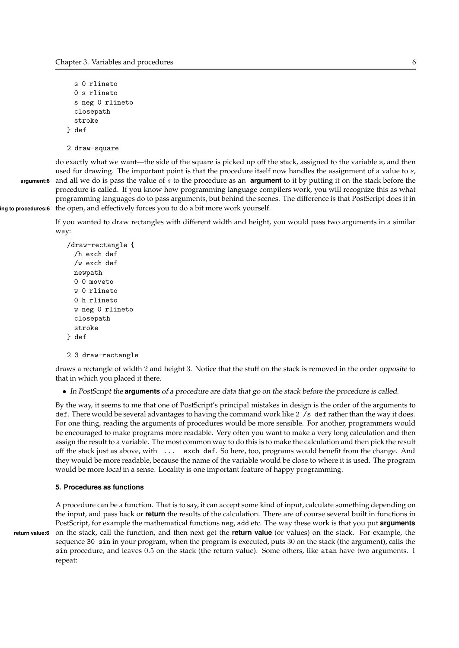```
s 0 rlineto
 0 s rlineto
 s neg 0 rlineto
 closepath
 stroke
} def
```

```
2 draw-square
```
do exactly what we want—the side of the square is picked up off the stack, assigned to the variable s, and then used for drawing. The important point is that the procedure itself now handles the assignment of a value to  $s$ , argument:6 and all we do is pass the value of s to the procedure as an argument to it by putting it on the stack before the procedure is called. If you know how programming language compilers work, you will recognize this as what programming languages do to pass arguments, but behind the scenes. The difference is that PostScript does it in ing to procedures:6 the open, and effectively forces you to do a bit more work yourself.

> If you wanted to draw rectangles with different width and height, you would pass two arguments in a similar way:

```
/draw-rectangle {
 /h exch def
 /w exch def
 newpath
 0 0 moveto
 w 0 rlineto
 0 h rlineto
 w neg 0 rlineto
 closepath
 stroke
} def
```
2 3 draw-rectangle

draws a rectangle of width 2 and height 3. Notice that the stuff on the stack is removed in the order opposite to that in which you placed it there.

• In PostScript the arguments of a procedure are data that go on the stack before the procedure is called.

By the way, it seems to me that one of PostScript's principal mistakes in design is the order of the arguments to def. There would be several advantages to having the command work like 2 /s def rather than the way it does. For one thing, reading the arguments of procedures would be more sensible. For another, programmers would be encouraged to make programs more readable. Very often you want to make a very long calculation and then assign the result to a variable. The most common way to do this is to make the calculation and then pick the result off the stack just as above, with ... exch def. So here, too, programs would benefit from the change. And they would be more readable, because the name of the variable would be close to where it is used. The program would be more local in a sense. Locality is one important feature of happy programming.

# 5. Procedures as functions

A procedure can be a function. That is to say, it can accept some kind of input, calculate something depending on the input, and pass back or **return** the results of the calculation. There are of course several built in functions in PostScript, for example the mathematical functions neg, add etc. The way these work is that you put arguments return value:6 on the stack, call the function, and then next get the return value (or values) on the stack. For example, the sequence 30 sin in your program, when the program is executed, puts 30 on the stack (the argument), calls the sin procedure, and leaves 0.5 on the stack (the return value). Some others, like atan have two arguments. I repeat: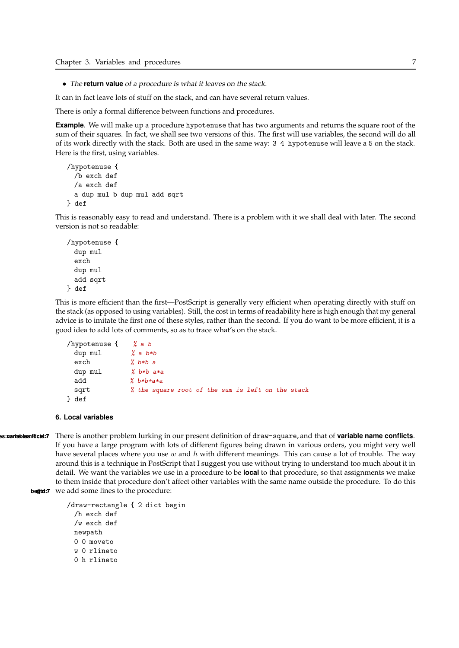• The return value of a procedure is what it leaves on the stack.

It can in fact leave lots of stuff on the stack, and can have several return values.

There is only a formal difference between functions and procedures.

**Example**. We will make up a procedure hypotenuse that has two arguments and returns the square root of the sum of their squares. In fact, we shall see two versions of this. The first will use variables, the second will do all of its work directly with the stack. Both are used in the same way: 3 4 hypotenuse will leave a 5 on the stack. Here is the first, using variables.

```
/hypotenuse {
 /b exch def
 /a exch def
 a dup mul b dup mul add sqrt
} def
```
This is reasonably easy to read and understand. There is a problem with it we shall deal with later. The second version is not so readable:

```
/hypotenuse {
 dup mul
 exch
 dup mul
 add sqrt
} def
```
This is more efficient than the first—PostScript is generally very efficient when operating directly with stuff on the stack (as opposed to using variables). Still, the cost in terms of readability here is high enough that my general advice is to imitate the first one of these styles, rather than the second. If you do want to be more efficient, it is a good idea to add lots of comments, so as to trace what's on the stack.

```
/hypotenuse { % a b
 dup mul % a b*b
 exch % b*b a
 dup mul % b * b a*a
 add % b*b+a*a
 sqrt \frac{1}{2} the square root of the sum is left on the stack
} def
```
### 6. Local variables

es:nameterizes:7 There is another problem lurking in our present definition of draw-square, and that of variable name conflicts. If you have a large program with lots of different figures being drawn in various orders, you might very well have several places where you use  $w$  and  $h$  with different meanings. This can cause a lot of trouble. The way around this is a technique in PostScript that I suggest you use without trying to understand too much about it in detail. We want the variables we use in a procedure to be **local** to that procedure, so that assignments we make to them inside that procedure don't affect other variables with the same name outside the procedure. To do this bedjid:7 we add some lines to the procedure:

```
/draw-rectangle { 2 dict begin
 /h exch def
 /w exch def
 newpath
 0 0 moveto
 w 0 rlineto
 0 h rlineto
```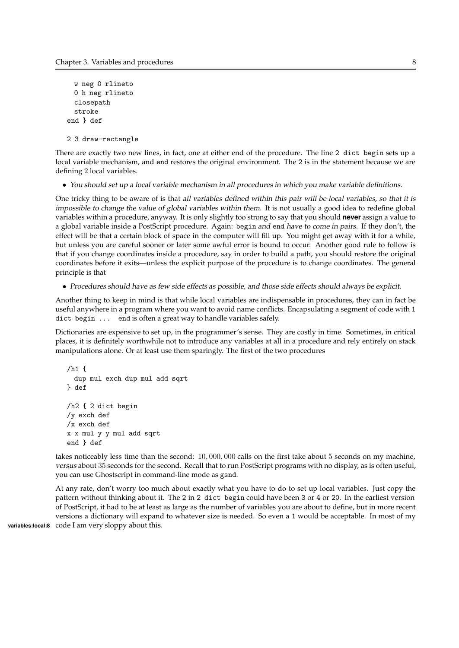```
w neg 0 rlineto
 0 h neg rlineto
 closepath
 stroke
end } def
```
2 3 draw-rectangle

There are exactly two new lines, in fact, one at either end of the procedure. The line 2 dict begin sets up a local variable mechanism, and end restores the original environment. The 2 is in the statement because we are defining 2 local variables.

• You should set up <sup>a</sup> local variable mechanism in all procedures in which you make variable definitions.

One tricky thing to be aware of is that all variables defined within this pair will be local variables, so that it is impossible to change the value of global variables within them. It is not usually a good idea to redefine global variables within a procedure, anyway. It is only slightly too strong to say that you should never assign a value to a global variable inside a PostScript procedure. Again: begin and end have to come in pairs. If they don't, the effect will be that a certain block of space in the computer will fill up. You might get away with it for a while, but unless you are careful sooner or later some awful error is bound to occur. Another good rule to follow is that if you change coordinates inside a procedure, say in order to build a path, you should restore the original coordinates before it exits—unless the explicit purpose of the procedure is to change coordinates. The general principle is that

• Procedures should have as few side effects as possible, and those side effects should always be explicit.

Another thing to keep in mind is that while local variables are indispensable in procedures, they can in fact be useful anywhere in a program where you want to avoid name conflicts. Encapsulating a segment of code with 1 dict begin ... end is often a great way to handle variables safely.

Dictionaries are expensive to set up, in the programmer's sense. They are costly in time. Sometimes, in critical places, it is definitely worthwhile not to introduce any variables at all in a procedure and rely entirely on stack manipulations alone. Or at least use them sparingly. The first of the two procedures

```
/h1 fdup mul exch dup mul add sqrt
} def
/h2 { 2 dict begin
/y exch def
/x exch def
x x mul y y mul add sqrt
end } def
```
takes noticeably less time than the second: 10, 000, 000 calls on the first take about 5 seconds on my machine, versus about 35 seconds for the second. Recall that to run PostScript programs with no display, as is often useful, you can use Ghostscript in command-line mode as gsnd.

At any rate, don't worry too much about exactly what you have to do to set up local variables. Just copy the pattern without thinking about it. The 2 in 2 dict begin could have been 3 or 4 or 20. In the earliest version of PostScript, it had to be at least as large as the number of variables you are about to define, but in more recent versions a dictionary will expand to whatever size is needed. So even a 1 would be acceptable. In most of my variables:local:8 code I am very sloppy about this.